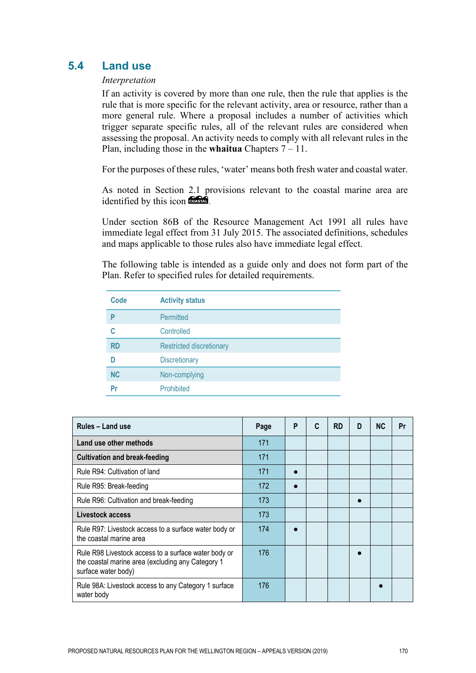# **5.4 Land use**

# *Interpretation*

If an activity is covered by more than one rule, then the rule that applies is the rule that is more specific for the relevant activity, area or resource, rather than a more general rule. Where a proposal includes a number of activities which trigger separate specific rules, all of the relevant rules are considered when assessing the proposal. An activity needs to comply with all relevant rules in the Plan, including those in the **whaitua** Chapters 7 – 11.

For the purposes of these rules, 'water' means both fresh water and coastal water.

As noted in Section 2.1 provisions relevant to the coastal marine area are identified by this icon **the state**.

Under section 86B of the Resource Management Act 1991 all rules have immediate legal effect from 31 July 2015. The associated definitions, schedules and maps applicable to those rules also have immediate legal effect.

The following table is intended as a guide only and does not form part of the Plan. Refer to specified rules for detailed requirements.

| <b>Code</b> | <b>Activity status</b>          |
|-------------|---------------------------------|
| P           | Permitted                       |
| C           | Controlled                      |
| <b>RD</b>   | <b>Restricted discretionary</b> |
| D           | <b>Discretionary</b>            |
| <b>NC</b>   | Non-complying                   |
| Pr          | Prohibited                      |

| Rules - Land use                                                                                                                 | Page | P | C | <b>RD</b> | D | <b>NC</b> | Pr |
|----------------------------------------------------------------------------------------------------------------------------------|------|---|---|-----------|---|-----------|----|
| Land use other methods                                                                                                           | 171  |   |   |           |   |           |    |
| <b>Cultivation and break-feeding</b>                                                                                             | 171  |   |   |           |   |           |    |
| Rule R94: Cultivation of land                                                                                                    | 171  |   |   |           |   |           |    |
| Rule R95: Break-feeding                                                                                                          | 172  |   |   |           |   |           |    |
| Rule R96: Cultivation and break-feeding                                                                                          | 173  |   |   |           |   |           |    |
| Livestock access                                                                                                                 | 173  |   |   |           |   |           |    |
| Rule R97: Livestock access to a surface water body or<br>the coastal marine area                                                 | 174  |   |   |           |   |           |    |
| Rule R98 Livestock access to a surface water body or<br>the coastal marine area (excluding any Category 1<br>surface water body) | 176  |   |   |           |   |           |    |
| Rule 98A: Livestock access to any Category 1 surface<br>water body                                                               | 176  |   |   |           |   |           |    |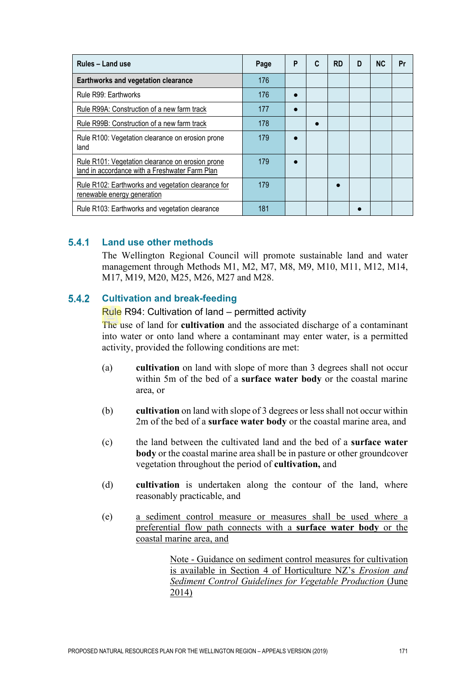| Rules - Land use                                                                                   | Page | P | C | <b>RD</b> | D | <b>NC</b> | Pr |
|----------------------------------------------------------------------------------------------------|------|---|---|-----------|---|-----------|----|
| Earthworks and vegetation clearance                                                                | 176  |   |   |           |   |           |    |
| Rule R99: Earthworks                                                                               | 176  |   |   |           |   |           |    |
| Rule R99A: Construction of a new farm track                                                        | 177  |   |   |           |   |           |    |
| Rule R99B: Construction of a new farm track                                                        | 178  |   |   |           |   |           |    |
| Rule R100: Vegetation clearance on erosion prone<br>land                                           | 179  |   |   |           |   |           |    |
| Rule R101: Vegetation clearance on erosion prone<br>land in accordance with a Freshwater Farm Plan | 179  |   |   |           |   |           |    |
| Rule R102: Earthworks and vegetation clearance for<br><u>renewable energy generation</u>           | 179  |   |   |           |   |           |    |
| Rule R103: Earthworks and vegetation clearance                                                     | 181  |   |   |           |   |           |    |

#### $5.4.1$ **Land use other methods**

The Wellington Regional Council will promote sustainable land and water management through Methods M1, M2, M7, M8, M9, M10, M11, M12, M14, M17, M19, M20, M25, M26, M27 and M28.

#### $5.4.2$ **Cultivation and break-feeding**

### Rule R94: Cultivation of land – permitted activity

The use of land for **cultivation** and the associated discharge of a contaminant into water or onto land where a contaminant may enter water, is a permitted activity, provided the following conditions are met:

- (a) **cultivation** on land with slope of more than 3 degrees shall not occur within 5m of the bed of a **surface water body** or the coastal marine area, or
- (b) **cultivation** on land with slope of 3 degrees or less shall not occur within 2m of the bed of a **surface water body** or the coastal marine area, and
- (c) the land between the cultivated land and the bed of a **surface water body** or the coastal marine area shall be in pasture or other groundcover vegetation throughout the period of **cultivation,** and
- (d) **cultivation** is undertaken along the contour of the land, where reasonably practicable, and
- (e) a sediment control measure or measures shall be used where a preferential flow path connects with a **surface water body** or the coastal marine area, and

Note - Guidance on sediment control measures for cultivation is available in Section 4 of Horticulture NZ's *Erosion and Sediment Control Guidelines for Vegetable Production* (June 2014)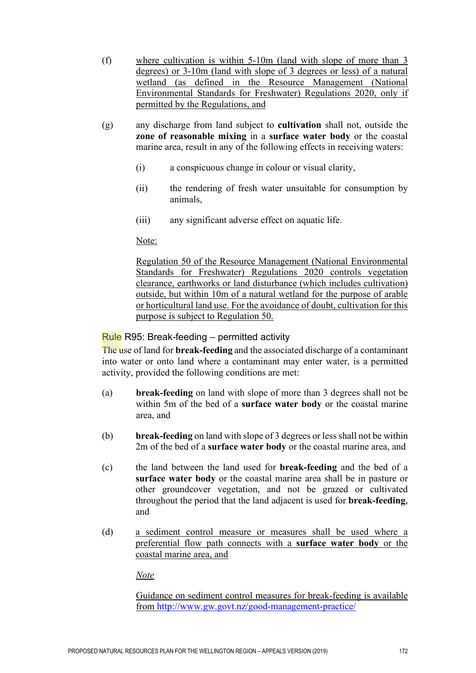- (f) where cultivation is within 5-10m (land with slope of more than 3 degrees) or 3-10m (land with slope of 3 degrees or less) of a natural wetland (as defined in the Resource Management (National Environmental Standards for Freshwater) Regulations 2020, only if permitted by the Regulations, and
- (g) any discharge from land subject to **cultivation** shall not, outside the **zone of reasonable mixing** in a **surface water body** or the coastal marine area, result in any of the following effects in receiving waters:
	- (i) a conspicuous change in colour or visual clarity,
	- (ii) the rendering of fresh water unsuitable for consumption by animals,
	- (iii) any significant adverse effect on aquatic life.

Note:

Regulation 50 of the Resource Management (National Environmental Standards for Freshwater) Regulations 2020 controls vegetation clearance, earthworks or land disturbance (which includes cultivation) outside, but within 10m of a natural wetland for the purpose of arable or horticultural land use. For the avoidance of doubt, cultivation for this purpose is subject to Regulation 50.

# Rule R95: Break-feeding – permitted activity

The use of land for **break-feeding** and the associated discharge of a contaminant into water or onto land where a contaminant may enter water, is a permitted activity, provided the following conditions are met:

- (a) **break-feeding** on land with slope of more than 3 degrees shall not be within 5m of the bed of a **surface water body** or the coastal marine area, and
- (b) **break-feeding** on land with slope of 3 degrees or less shall not be within 2m of the bed of a **surface water body** or the coastal marine area, and
- (c) the land between the land used for **break-feeding** and the bed of a **surface water body** or the coastal marine area shall be in pasture or other groundcover vegetation, and not be grazed or cultivated throughout the period that the land adjacent is used for **break-feeding**, and
- (d) a sediment control measure or measures shall be used where a preferential flow path connects with a **surface water body** or the coastal marine area, and

*Note*

Guidance on sediment control measures for break-feeding is available from<http://www.gw.govt.nz/good-management-practice/>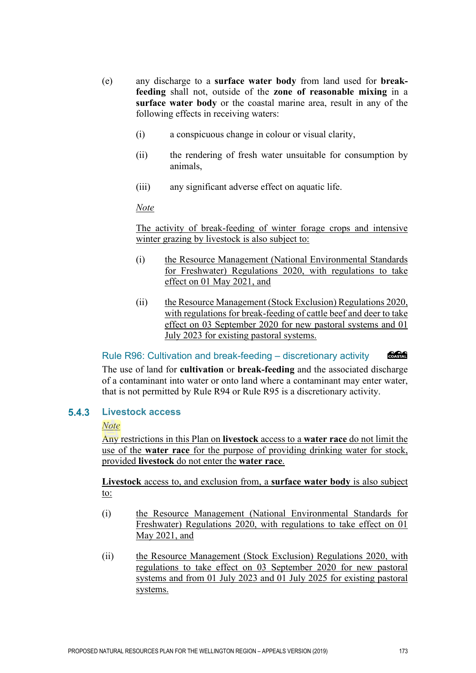- (e) any discharge to a **surface water body** from land used for **breakfeeding** shall not, outside of the **zone of reasonable mixing** in a **surface water body** or the coastal marine area, result in any of the following effects in receiving waters:
	- (i) a conspicuous change in colour or visual clarity,
	- (ii) the rendering of fresh water unsuitable for consumption by animals,
	- (iii) any significant adverse effect on aquatic life.

# *Note*

The activity of break-feeding of winter forage crops and intensive winter grazing by livestock is also subject to:

- (i) the Resource Management (National Environmental Standards for Freshwater) Regulations 2020, with regulations to take effect on 01 May 2021, and
- (ii) the Resource Management (Stock Exclusion) Regulations 2020, with regulations for break-feeding of cattle beef and deer to take effect on 03 September 2020 for new pastoral systems and 01 July 2023 for existing pastoral systems.

COASTAL Rule R96: Cultivation and break-feeding – discretionary activity The use of land for **cultivation** or **break-feeding** and the associated discharge of a contaminant into water or onto land where a contaminant may enter water, that is not permitted by Rule R94 or Rule R95 is a discretionary activity.

#### $5.4.3$ **Livestock access**

# *Note*

Any restrictions in this Plan on **livestock** access to a **water race** do not limit the use of the **water race** for the purpose of providing drinking water for stock, provided **livestock** do not enter the **water race**.

**Livestock** access to, and exclusion from, a **surface water body** is also subject to:

- (i) the Resource Management (National Environmental Standards for Freshwater) Regulations 2020, with regulations to take effect on 01 May 2021, and
- (ii) the Resource Management (Stock Exclusion) Regulations 2020, with regulations to take effect on 03 September 2020 for new pastoral systems and from 01 July 2023 and 01 July 2025 for existing pastoral systems.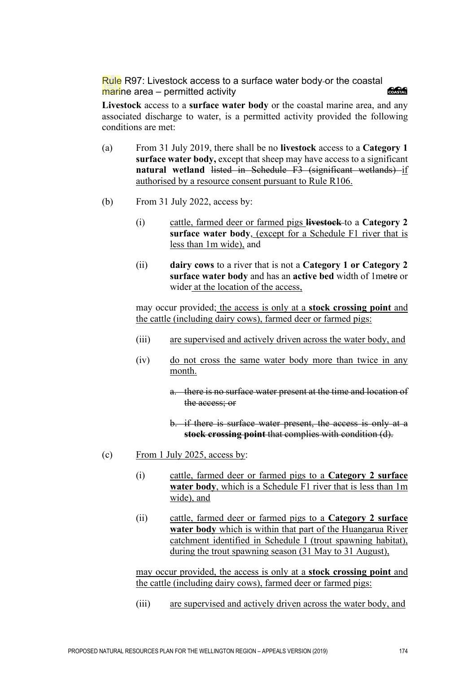Rule R97: Livestock access to a surface water body or the coastal **AARA** marine area – permitted activity

**Livestock** access to a **surface water body** or the coastal marine area, and any associated discharge to water, is a permitted activity provided the following conditions are met:

- (a) From 31 July 2019, there shall be no **livestock** access to a **Category 1 surface water body,** except that sheep may have access to a significant **natural wetland listed in Schedule F3 (significant wetlands) if** authorised by a resource consent pursuant to Rule R106.
- (b) From 31 July 2022, access by:
	- (i) cattle, farmed deer or farmed pigs **livestock** to a **Category 2 surface water body**, (except for a Schedule F1 river that is less than 1m wide), and
	- (ii) **dairy cows** to a river that is not a **Category 1 or Category 2 surface water body** and has an **active bed** width of 1metre or wider at the location of the access,

may occur provided; the access is only at a **stock crossing point** and the cattle (including dairy cows), farmed deer or farmed pigs:

- (iii) are supervised and actively driven across the water body, and
- (iv) do not cross the same water body more than twice in any month.
	- a. there is no surface water present at the time and location of the access; or
	- b. if there is surface water present, the access is only at a **stock crossing point** that complies with condition (d).
- (c) From 1 July 2025, access by:
	- (i) cattle, farmed deer or farmed pigs to a **Category 2 surface water body**, which is a Schedule F1 river that is less than 1m wide), and
	- (ii) cattle, farmed deer or farmed pigs to a **Category 2 surface water body** which is within that part of the Huangarua River catchment identified in Schedule I (trout spawning habitat), during the trout spawning season (31 May to 31 August),

may occur provided, the access is only at a **stock crossing point** and the cattle (including dairy cows), farmed deer or farmed pigs:

(iii) are supervised and actively driven across the water body, and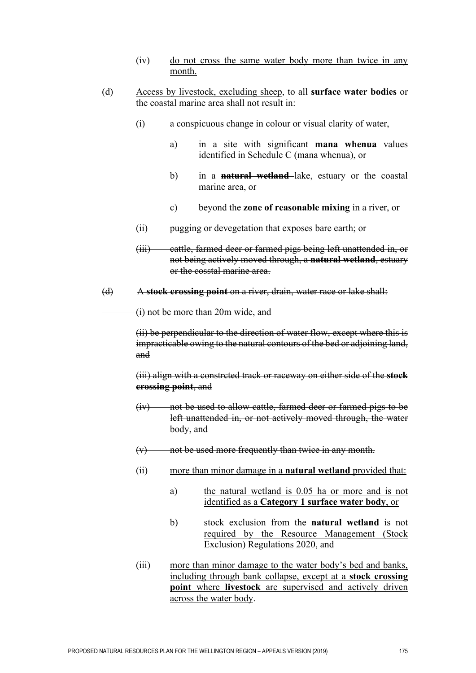- (iv) do not cross the same water body more than twice in any month.
- (d) Access by livestock, excluding sheep, to all **surface water bodies** or the coastal marine area shall not result in:
	- (i) a conspicuous change in colour or visual clarity of water,
		- a) in a site with significant **mana whenua** values identified in Schedule C (mana whenua), or
		- b) in a **natural wetland** lake, estuary or the coastal marine area, or
		- c) beyond the **zone of reasonable mixing** in a river, or
	- (ii) pugging or devegetation that exposes bare earth; or
	- (iii) cattle, farmed deer or farmed pigs being left unattended in, or not being actively moved through, a **natural wetland**, estuary or the cosstal marine area.
- (d) A **stock crossing point** on a river, drain, water race or lake shall:

(i) not be more than 20m wide, and

(ii) be perpendicular to the direction of water flow, except where this is impracticable owing to the natural contours of the bed or adjoining land, and

(iii) align with a constrcted track or raceway on either side of the **stock crossing point**, and

- (iv) not be used to allow cattle, farmed deer or farmed pigs to be left unattended in, or not actively moved through, the water body, and
- $(v)$  not be used more frequently than twice in any month.
- (ii) more than minor damage in a **natural wetland** provided that:
	- a) the natural wetland is 0.05 ha or more and is not identified as a **Category 1 surface water body**, or
	- b) stock exclusion from the **natural wetland** is not required by the Resource Management (Stock Exclusion) Regulations 2020, and
- (iii) more than minor damage to the water body's bed and banks, including through bank collapse, except at a **stock crossing point** where **livestock** are supervised and actively driven across the water body.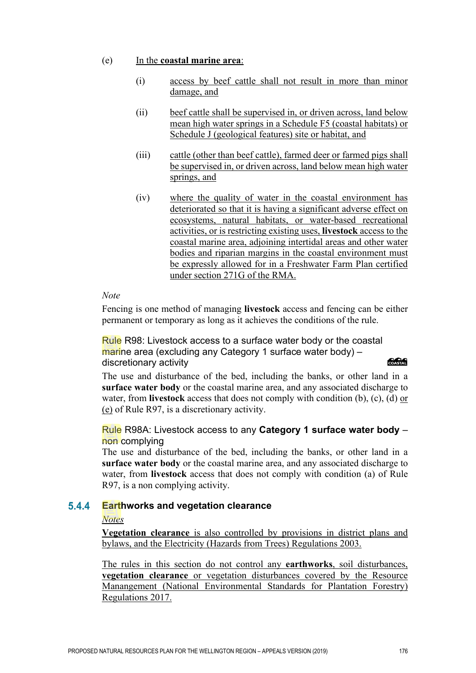# (e) In the **coastal marine area**:

- (i) access by beef cattle shall not result in more than minor damage, and
- (ii) beef cattle shall be supervised in, or driven across, land below mean high water springs in a Schedule F5 (coastal habitats) or Schedule J (geological features) site or habitat, and
- (iii) cattle (other than beef cattle), farmed deer or farmed pigs shall be supervised in, or driven across, land below mean high water springs, and
- (iv) where the quality of water in the coastal environment has deteriorated so that it is having a significant adverse effect on ecosystems, natural habitats, or water-based recreational activities, or is restricting existing uses, **livestock** access to the coastal marine area, adjoining intertidal areas and other water bodies and riparian margins in the coastal environment must be expressly allowed for in a Freshwater Farm Plan certified under section 271G of the RMA.

# *Note*

Fencing is one method of managing **livestock** access and fencing can be either permanent or temporary as long as it achieves the conditions of the rule.

Rule R98: Livestock access to a surface water body or the coastal marine area (excluding any Category 1 surface water body) – discretionary activity

# **COASTAL**

The use and disturbance of the bed, including the banks, or other land in a **surface water body** or the coastal marine area, and any associated discharge to water, from **livestock** access that does not comply with condition (b), (c), (d) or (e) of Rule R97, is a discretionary activity.

Rule R98A: Livestock access to any **Category 1 surface water body** – non complying

The use and disturbance of the bed, including the banks, or other land in a **surface water body** or the coastal marine area, and any associated discharge to water, from **livestock** access that does not comply with condition (a) of Rule R97, is a non complying activity.

#### $5.4.4$ **Earthworks and vegetation clearance**

# *Notes*

**Vegetation clearance** is also controlled by provisions in district plans and bylaws, and the Electricity (Hazards from Trees) Regulations 2003.

The rules in this section do not control any **earthworks**, soil disturbances, **vegetation clearance** or vegetation disturbances covered by the Resource Manangement (National Environmental Standards for Plantation Forestry) Regulations 2017.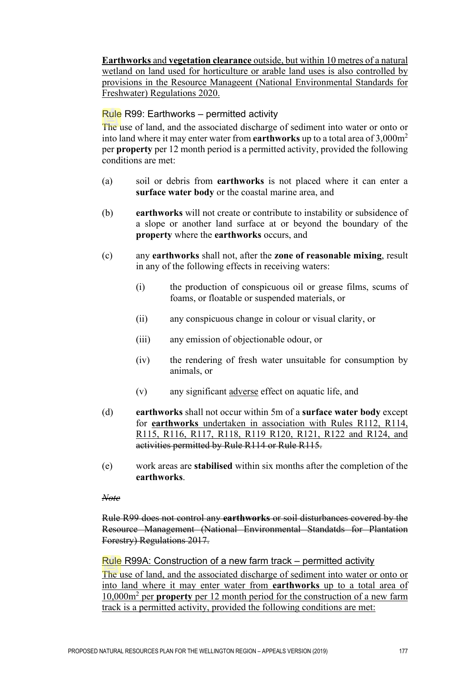**Earthworks** and **vegetation clearance** outside, but within 10 metres of a natural wetland on land used for horticulture or arable land uses is also controlled by provisions in the Resource Manageent (National Environmental Standards for Freshwater) Regulations 2020.

# Rule R99: Earthworks – permitted activity

The use of land, and the associated discharge of sediment into water or onto or into land where it may enter water from **earthworks** up to a total area of 3,000m2 per **property** per 12 month period is a permitted activity, provided the following conditions are met:

- (a) soil or debris from **earthworks** is not placed where it can enter a **surface water body** or the coastal marine area, and
- (b) **earthworks** will not create or contribute to instability or subsidence of a slope or another land surface at or beyond the boundary of the **property** where the **earthworks** occurs, and
- (c) any **earthworks** shall not, after the **zone of reasonable mixing**, result in any of the following effects in receiving waters:
	- (i) the production of conspicuous oil or grease films, scums of foams, or floatable or suspended materials, or
	- (ii) any conspicuous change in colour or visual clarity, or
	- (iii) any emission of objectionable odour, or
	- (iv) the rendering of fresh water unsuitable for consumption by animals, or
	- (v) any significant adverse effect on aquatic life, and
- (d) **earthworks** shall not occur within 5m of a **surface water body** except for **earthworks** undertaken in association with Rules R112, R114, R115, R116, R117, R118, R119 R120, R121, R122 and R124, and activities permitted by Rule R114 or Rule R115.
- (e) work areas are **stabilised** within six months after the completion of the **earthworks**.

# *Note*

Rule R99 does not control any **earthworks** or soil disturbances covered by the Resource Management (National Environmental Standatds for Plantation Forestry) Regulations 2017.

# Rule R99A: Construction of a new farm track – permitted activity

The use of land, and the associated discharge of sediment into water or onto or into land where it may enter water from **earthworks** up to a total area of 10,000m<sup>2</sup> per **property** per 12 month period for the construction of a new farm track is a permitted activity, provided the following conditions are met: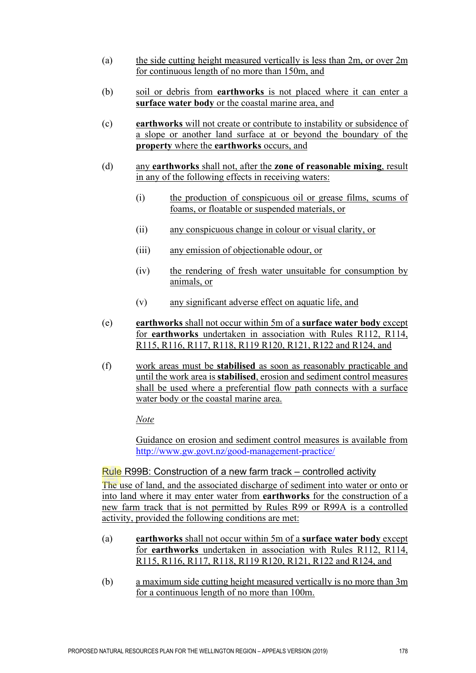- (a) the side cutting height measured vertically is less than 2m, or over 2m for continuous length of no more than 150m, and
- (b) soil or debris from **earthworks** is not placed where it can enter a **surface water body** or the coastal marine area, and
- (c) **earthworks** will not create or contribute to instability or subsidence of a slope or another land surface at or beyond the boundary of the **property** where the **earthworks** occurs, and
- (d) any **earthworks** shall not, after the **zone of reasonable mixing**, result in any of the following effects in receiving waters:
	- (i) the production of conspicuous oil or grease films, scums of foams, or floatable or suspended materials, or
	- (ii) any conspicuous change in colour or visual clarity, or
	- (iii) any emission of objectionable odour, or
	- (iv) the rendering of <u>fresh water unsuitable for consumption by</u> animals, or
	- (v) any significant adverse effect on aquatic life, and
- (e) **earthworks** shall not occur within 5m of a **surface water body** except for **earthworks** undertaken in association with Rules R112, R114, R115, R116, R117, R118, R119 R120, R121, R122 and R124, and
- (f) work areas must be **stabilised** as soon as reasonably practicable and until the work area is **stabilised**, erosion and sediment control measures shall be used where a preferential flow path connects with a surface water body or the coastal marine area.

*Note*

Guidance on erosion and sediment control measures is available from <http://www.gw.govt.nz/good-management-practice/>

### Rule R99B: Construction of a new farm track – controlled activity

The use of land, and the associated discharge of sediment into water or onto or into land where it may enter water from **earthworks** for the construction of a new farm track that is not permitted by Rules R99 or R99A is a controlled activity, provided the following conditions are met:

- (a) **earthworks** shall not occur within 5m of a **surface water body** except for **earthworks** undertaken in association with Rules R112, R114, R115, R116, R117, R118, R119 R120, R121, R122 and R124, and
- (b) a maximum side cutting height measured vertically is no more than 3m for a continuous length of no more than 100m.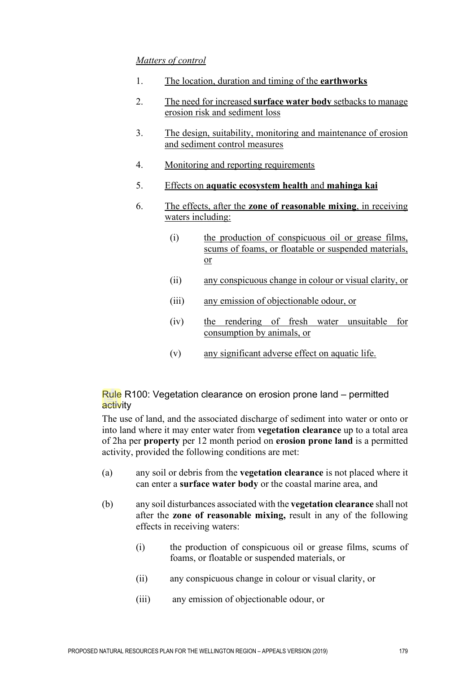# *Matters of control*

- 1. The location, duration and timing of the **earthworks**
- 2. The need for increased **surface water body** setbacks to manage erosion risk and sediment loss
- 3. The design, suitability, monitoring and maintenance of erosion and sediment control measures
- 4. Monitoring and reporting requirements
- 5. Effects on **aquatic ecosystem health** and **mahinga kai**
- 6. The effects, after the **zone of reasonable mixing**, in receiving waters including:
	- (i) the production of conspicuous oil or grease films, scums of foams, or floatable or suspended materials, or
	- (ii) any conspicuous change in colour or visual clarity, or
	- (iii) any emission of objectionable odour, or
	- (iv) the rendering of fresh water unsuitable for consumption by animals, or
	- (v) any significant adverse effect on aquatic life.

# Rule R100: Vegetation clearance on erosion prone land – permitted activity

The use of land, and the associated discharge of sediment into water or onto or into land where it may enter water from **vegetation clearance** up to a total area of 2ha per **property** per 12 month period on **erosion prone land** is a permitted activity, provided the following conditions are met:

- (a) any soil or debris from the **vegetation clearance** is not placed where it can enter a **surface water body** or the coastal marine area, and
- (b) any soil disturbances associated with the **vegetation clearance** shall not after the **zone of reasonable mixing,** result in any of the following effects in receiving waters:
	- (i) the production of conspicuous oil or grease films, scums of foams, or floatable or suspended materials, or
	- (ii) any conspicuous change in colour or visual clarity, or
	- (iii) any emission of objectionable odour, or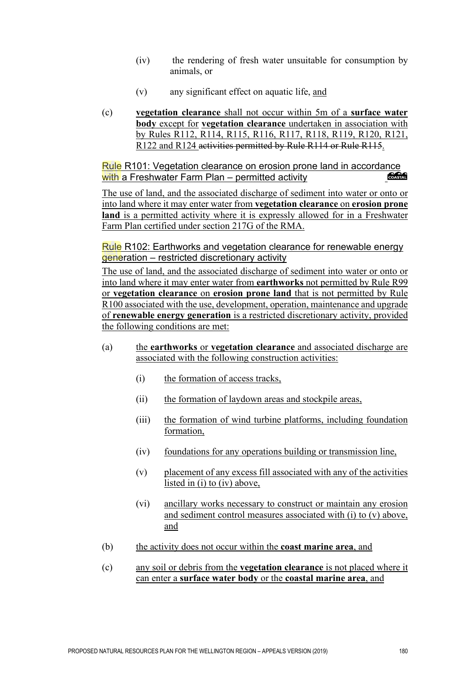- (iv) the rendering of fresh water unsuitable for consumption by animals, or
- (v) any significant effect on aquatic life, and
- (c) **vegetation clearance** shall not occur within 5m of a **surface water body** except for **vegetation clearance** undertaken in association with by Rules R112, R114, R115, R116, R117, R118, R119, R120, R121, R122 and R124 activities permitted by Rule R114 or Rule R115.

Rule R101: Vegetation clearance on erosion prone land in accordance with a Freshwater Farm Plan – permitted activity COASTAL

The use of land, and the associated discharge of sediment into water or onto or into land where it may enter water from **vegetation clearance** on **erosion prone land** is a permitted activity where it is expressly allowed for in a Freshwater Farm Plan certified under section 217G of the RMA.

Rule R102: Earthworks and vegetation clearance for renewable energy generation – restricted discretionary activity

The use of land, and the associated discharge of sediment into water or onto or into land where it may enter water from **earthworks** not permitted by Rule R99 or **vegetation clearance** on **erosion prone land** that is not permitted by Rule R100 associated with the use, development, operation, maintenance and upgrade of **renewable energy generation** is a restricted discretionary activity, provided the following conditions are met:

- (a) the **earthworks** or **vegetation clearance** and associated discharge are associated with the following construction activities:
	- (i) the formation of access tracks,
	- (ii) the formation of laydown areas and stockpile areas,
	- (iii) the formation of wind turbine platforms, including foundation formation,
	- (iv) foundations for any operations building or transmission line,
	- (v) placement of any excess fill associated with any of the activities listed in (i) to (iv) above,
	- (vi) ancillary works necessary to construct or maintain any erosion and sediment control measures associated with (i) to (v) above, and
- (b) the activity does not occur within the **coast marine area**, and
- (c) any soil or debris from the **vegetation clearance** is not placed where it can enter a **surface water body** or the **coastal marine area**, and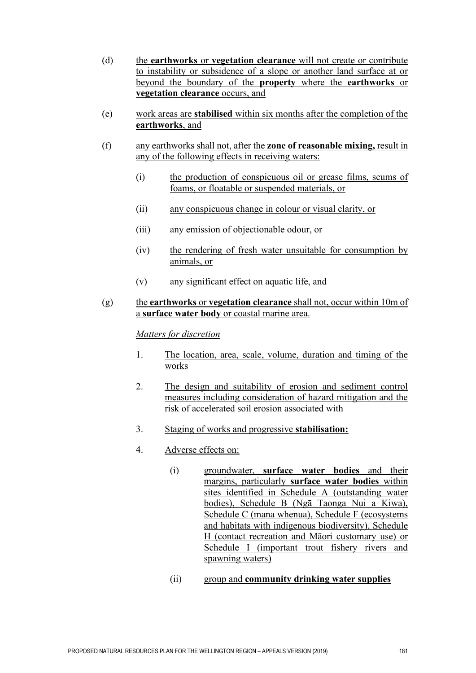- (d) the **earthworks** or **vegetation clearance** will not create or contribute to instability or subsidence of a slope or another land surface at or beyond the boundary of the **property** where the **earthworks** or **vegetation clearance** occurs, and
- (e) work areas are **stabilised** within six months after the completion of the **earthworks**, and
- (f) any earthworks shall not, after the **zone of reasonable mixing,** result in any of the following effects in receiving waters:
	- (i) the production of conspicuous oil or grease films, scums of foams, or floatable or suspended materials, or
	- (ii) any conspicuous change in colour or visual clarity, or
	- (iii) any emission of objectionable odour, or
	- (iv) the rendering of fresh water unsuitable for consumption by animals, or
	- (v) any significant effect on aquatic life, and

# (g) the **earthworks** or **vegetation clearance** shall not, occur within 10m of a **surface water body** or coastal marine area.

# *Matters for discretion*

- 1. The location, area, scale, volume, duration and timing of the works
- 2. The design and suitability of erosion and sediment control measures including consideration of hazard mitigation and the risk of accelerated soil erosion associated with
- 3. Staging of works and progressive **stabilisation:**
- 4. Adverse effects on:
	- (i) groundwater, **surface water bodies** and their margins, particularly **surface water bodies** within sites identified in Schedule A (outstanding water bodies), Schedule B (Ngā Taonga Nui a Kiwa), Schedule C (mana whenua), Schedule F (ecosystems and habitats with indigenous biodiversity), Schedule H (contact recreation and Māori customary use) or Schedule I (important trout fishery rivers and spawning waters)
	- (ii) group and **community drinking water supplies**